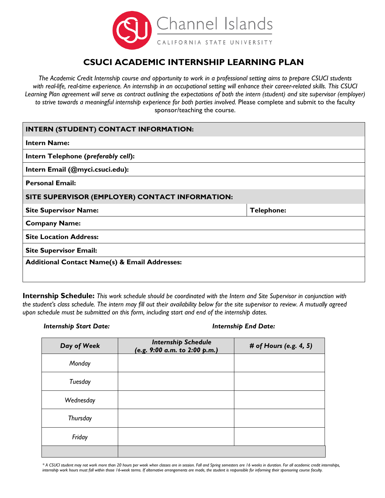

# **CSUCI ACADEMIC INTERNSHIP LEARNING PLAN**

*The Academic Credit Internship course and opportunity to work in a professional setting aims to prepare CSUCI students with real-life, real-time experience. An internship in an occupational setting will enhance their career-related skills. This CSUCI Learning Plan agreement will serve as contract outlining the expectations of both the intern (student) and site supervisor (employer) to strive towards a meaningful internship experience for both parties involved.* Please complete and submit to the faculty sponsor/teaching the course.

## **INTERN (STUDENT) CONTACT INFORMATION:**

| <b>Intern Name:</b>                                      |                   |  |
|----------------------------------------------------------|-------------------|--|
| Intern Telephone (preferably cell):                      |                   |  |
| Intern Email (@myci.csuci.edu):                          |                   |  |
| <b>Personal Email:</b>                                   |                   |  |
| SITE SUPERVISOR (EMPLOYER) CONTACT INFORMATION:          |                   |  |
| <b>Site Supervisor Name:</b>                             | <b>Telephone:</b> |  |
| <b>Company Name:</b>                                     |                   |  |
| <b>Site Location Address:</b>                            |                   |  |
| <b>Site Supervisor Email:</b>                            |                   |  |
| <b>Additional Contact Name(s) &amp; Email Addresses:</b> |                   |  |
|                                                          |                   |  |

**Internship Schedule:** *This work schedule should be coordinated with the Intern and Site Supervisor in conjunction with the student's class schedule. The intern may fill out their availability below for the site supervisor to review. A mutually agreed upon schedule must be submitted on this form, including start and end of the internship dates.*

### *Internship Start Date: Internship End Date:*

| Day of Week     | <b>Internship Schedule</b><br>(e.g. 9:00 a.m. to 2:00 p.m.) | # of Hours (e.g. 4, 5) |
|-----------------|-------------------------------------------------------------|------------------------|
| Monday          |                                                             |                        |
| Tuesday         |                                                             |                        |
| Wednesday       |                                                             |                        |
| <b>Thursday</b> |                                                             |                        |
| Friday          |                                                             |                        |
|                 |                                                             |                        |

*\* A CSUCI student may not work more than 20 hours per week when classes are in session. Fall and Spring semesters are 16 weeks in duration. For all academic credit internships, internship work hours must fall within those 16-week terms. If alternative arrangements are made, the student is responsible for informing their sponsoring course faculty.*